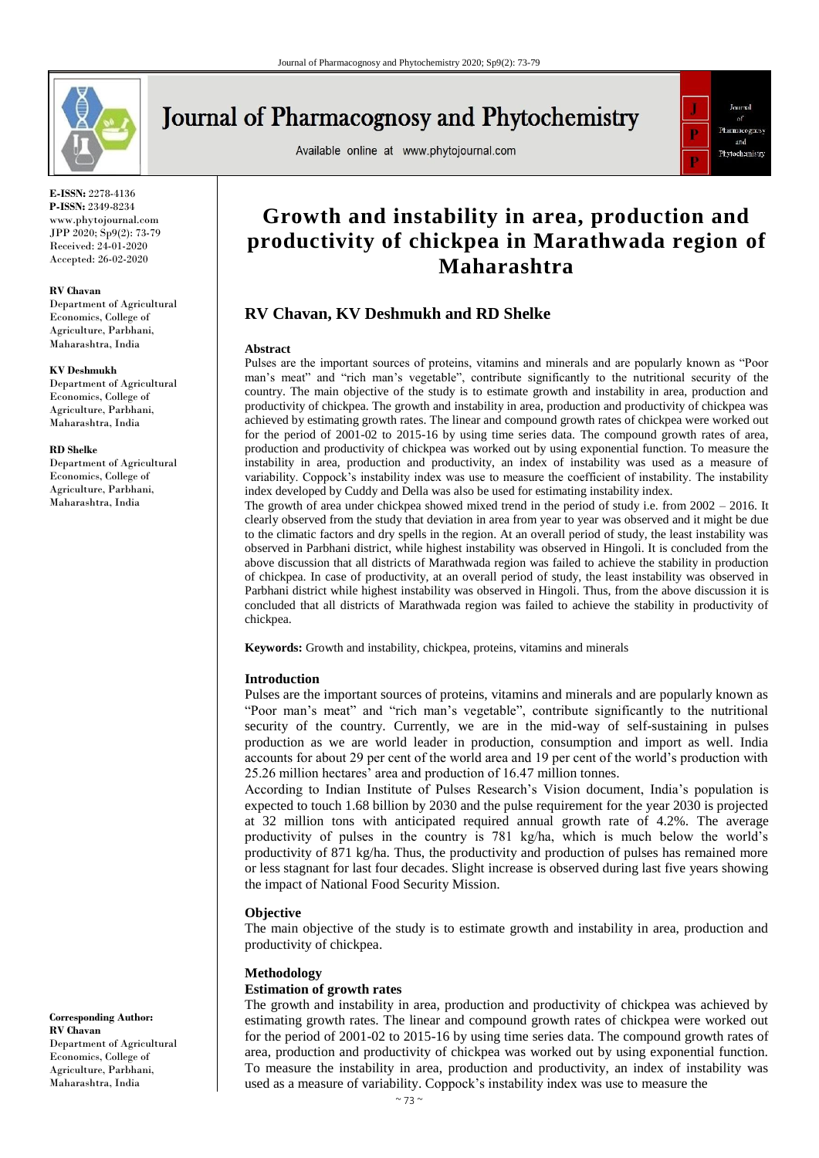

# **Journal of Pharmacognosy and Phytochemistry**

Available online at www.phytojournal.com



**E-ISSN:** 2278-4136 **P-ISSN:** 2349-8234 www.phytojournal.com JPP 2020; Sp9(2): 73-79 Received: 24-01-2020 Accepted: 26-02-2020

#### **RV Chavan**

Department of Agricultural Economics, College of Agriculture, Parbhani, Maharashtra, India

#### **KV Deshmukh**

Department of Agricultural Economics, College of Agriculture, Parbhani, Maharashtra, India

#### **RD Shelke**

Department of Agricultural Economics, College of Agriculture, Parbhani, Maharashtra, India

**Corresponding Author: RV Chavan** Department of Agricultural Economics, College of Agriculture, Parbhani, Maharashtra, India

# **Growth and instability in area, production and productivity of chickpea in Marathwada region of Maharashtra**

# **RV Chavan, KV Deshmukh and RD Shelke**

#### **Abstract**

Pulses are the important sources of proteins, vitamins and minerals and are popularly known as "Poor man's meat" and "rich man's vegetable", contribute significantly to the nutritional security of the country. The main objective of the study is to estimate growth and instability in area, production and productivity of chickpea. The growth and instability in area, production and productivity of chickpea was achieved by estimating growth rates. The linear and compound growth rates of chickpea were worked out for the period of 2001-02 to 2015-16 by using time series data. The compound growth rates of area, production and productivity of chickpea was worked out by using exponential function. To measure the instability in area, production and productivity, an index of instability was used as a measure of variability. Coppock's instability index was use to measure the coefficient of instability. The instability index developed by Cuddy and Della was also be used for estimating instability index.

The growth of area under chickpea showed mixed trend in the period of study i.e. from 2002 – 2016. It clearly observed from the study that deviation in area from year to year was observed and it might be due to the climatic factors and dry spells in the region. At an overall period of study, the least instability was observed in Parbhani district, while highest instability was observed in Hingoli. It is concluded from the above discussion that all districts of Marathwada region was failed to achieve the stability in production of chickpea. In case of productivity, at an overall period of study, the least instability was observed in Parbhani district while highest instability was observed in Hingoli. Thus, from the above discussion it is concluded that all districts of Marathwada region was failed to achieve the stability in productivity of chickpea.

**Keywords:** Growth and instability, chickpea, proteins, vitamins and minerals

#### **Introduction**

Pulses are the important sources of proteins, vitamins and minerals and are popularly known as "Poor man's meat" and "rich man's vegetable", contribute significantly to the nutritional security of the country. Currently, we are in the mid-way of self-sustaining in pulses production as we are world leader in production, consumption and import as well. India accounts for about 29 per cent of the world area and 19 per cent of the world's production with 25.26 million hectares' area and production of 16.47 million tonnes.

According to Indian Institute of Pulses Research's Vision document, India's population is expected to touch 1.68 billion by 2030 and the pulse requirement for the year 2030 is projected at 32 million tons with anticipated required annual growth rate of 4.2%. The average productivity of pulses in the country is 781 kg/ha, which is much below the world's productivity of 871 kg/ha. Thus, the productivity and production of pulses has remained more or less stagnant for last four decades. Slight increase is observed during last five years showing the impact of National Food Security Mission.

#### **Objective**

The main objective of the study is to estimate growth and instability in area, production and productivity of chickpea.

#### **Methodology**

#### **Estimation of growth rates**

The growth and instability in area, production and productivity of chickpea was achieved by estimating growth rates. The linear and compound growth rates of chickpea were worked out for the period of 2001-02 to 2015-16 by using time series data. The compound growth rates of area, production and productivity of chickpea was worked out by using exponential function. To measure the instability in area, production and productivity, an index of instability was used as a measure of variability. Coppock's instability index was use to measure the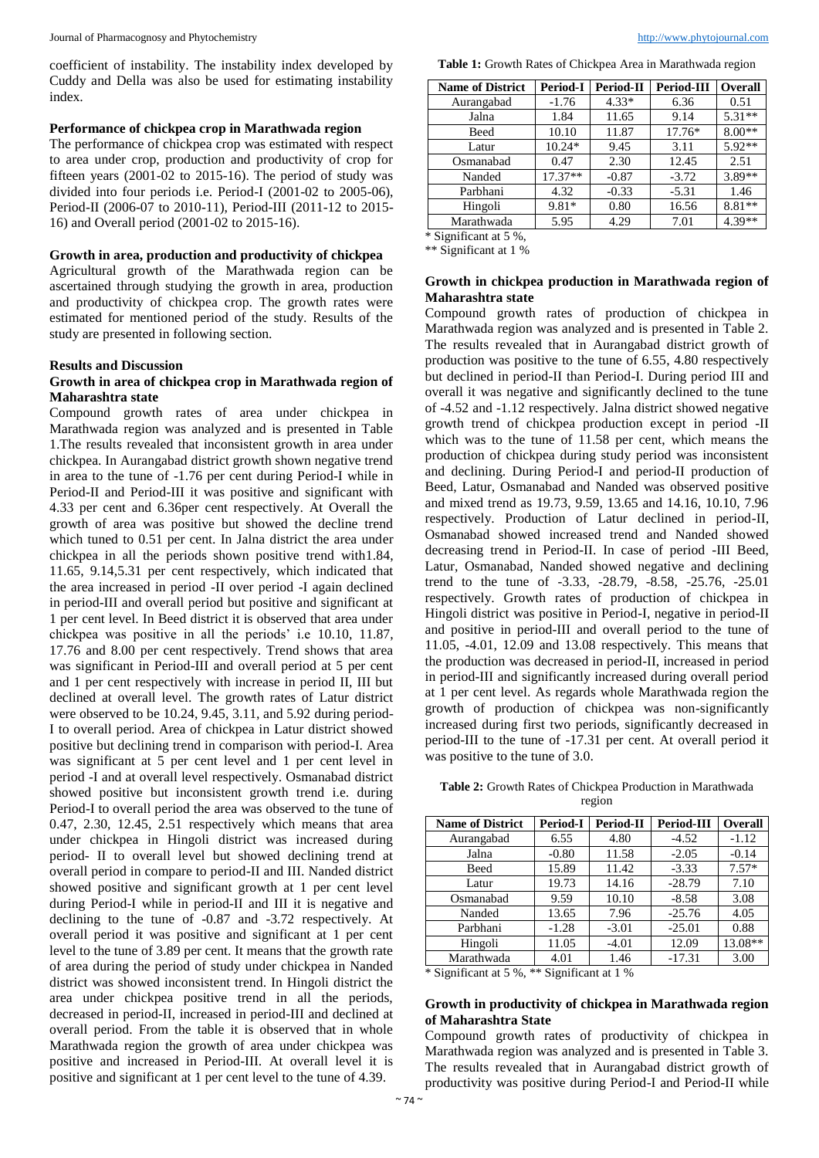coefficient of instability. The instability index developed by Cuddy and Della was also be used for estimating instability index.

#### **Performance of chickpea crop in Marathwada region**

The performance of chickpea crop was estimated with respect to area under crop, production and productivity of crop for fifteen years  $(2001-02)$  to  $2015-16$ ). The period of study was divided into four periods i.e. Period-I (2001-02 to 2005-06), Period-II (2006-07 to 2010-11), Period-III (2011-12 to 2015- 16) and Overall period (2001-02 to 2015-16).

#### **Growth in area, production and productivity of chickpea**

Agricultural growth of the Marathwada region can be ascertained through studying the growth in area, production and productivity of chickpea crop. The growth rates were estimated for mentioned period of the study. Results of the study are presented in following section.

#### **Results and Discussion**

#### **Growth in area of chickpea crop in Marathwada region of Maharashtra state**

Compound growth rates of area under chickpea in Marathwada region was analyzed and is presented in Table 1.The results revealed that inconsistent growth in area under chickpea. In Aurangabad district growth shown negative trend in area to the tune of -1.76 per cent during Period-I while in Period-II and Period-III it was positive and significant with 4.33 per cent and 6.36per cent respectively. At Overall the growth of area was positive but showed the decline trend which tuned to 0.51 per cent. In Jalna district the area under chickpea in all the periods shown positive trend with1.84, 11.65, 9.14,5.31 per cent respectively, which indicated that the area increased in period -II over period -I again declined in period-III and overall period but positive and significant at 1 per cent level. In Beed district it is observed that area under chickpea was positive in all the periods' i.e 10.10, 11.87, 17.76 and 8.00 per cent respectively. Trend shows that area was significant in Period-III and overall period at 5 per cent and 1 per cent respectively with increase in period II, III but declined at overall level. The growth rates of Latur district were observed to be 10.24, 9.45, 3.11, and 5.92 during period-I to overall period. Area of chickpea in Latur district showed positive but declining trend in comparison with period-I. Area was significant at 5 per cent level and 1 per cent level in period -I and at overall level respectively. Osmanabad district showed positive but inconsistent growth trend i.e. during Period-I to overall period the area was observed to the tune of 0.47, 2.30, 12.45, 2.51 respectively which means that area under chickpea in Hingoli district was increased during period- II to overall level but showed declining trend at overall period in compare to period-II and III. Nanded district showed positive and significant growth at 1 per cent level during Period-I while in period-II and III it is negative and declining to the tune of -0.87 and -3.72 respectively. At overall period it was positive and significant at 1 per cent level to the tune of 3.89 per cent. It means that the growth rate of area during the period of study under chickpea in Nanded district was showed inconsistent trend. In Hingoli district the area under chickpea positive trend in all the periods, decreased in period-II, increased in period-III and declined at overall period. From the table it is observed that in whole Marathwada region the growth of area under chickpea was positive and increased in Period-III. At overall level it is positive and significant at 1 per cent level to the tune of 4.39.

**Table 1:** Growth Rates of Chickpea Area in Marathwada region

| <b>Name of District</b> | <b>Period-I</b> | Period-II | <b>Period-III</b> | <b>Overall</b> |
|-------------------------|-----------------|-----------|-------------------|----------------|
| Aurangabad              | $-1.76$         | $4.33*$   | 6.36              | 0.51           |
| Jalna                   | 1.84            | 11.65     | 9.14              | $5.31**$       |
| Beed                    | 10.10           | 11.87     | $17.76*$          | $8.00**$       |
| Latur                   | $10.24*$        | 9.45      | 3.11              | 5.92**         |
| Osmanabad               | 0.47            | 2.30      | 12.45             | 2.51           |
| Nanded                  | $17.37**$       | $-0.87$   | $-3.72$           | 3.89**         |
| Parbhani                | 4.32            | $-0.33$   | $-5.31$           | 1.46           |
| Hingoli                 | $9.81*$         | 0.80      | 16.56             | 8.81**         |
| Marathwada              | 5.95            | 4.29      | 7.01              | $4.39**$       |

\* Significant at 5 %,

\*\* Significant at 1 %

#### **Growth in chickpea production in Marathwada region of Maharashtra state**

Compound growth rates of production of chickpea in Marathwada region was analyzed and is presented in Table 2. The results revealed that in Aurangabad district growth of production was positive to the tune of 6.55, 4.80 respectively but declined in period-II than Period-I. During period III and overall it was negative and significantly declined to the tune of -4.52 and -1.12 respectively. Jalna district showed negative growth trend of chickpea production except in period -II which was to the tune of 11.58 per cent, which means the production of chickpea during study period was inconsistent and declining. During Period-I and period-II production of Beed, Latur, Osmanabad and Nanded was observed positive and mixed trend as 19.73, 9.59, 13.65 and 14.16, 10.10, 7.96 respectively. Production of Latur declined in period-II, Osmanabad showed increased trend and Nanded showed decreasing trend in Period-II. In case of period -III Beed, Latur, Osmanabad, Nanded showed negative and declining trend to the tune of -3.33, -28.79, -8.58, -25.76, -25.01 respectively. Growth rates of production of chickpea in Hingoli district was positive in Period-I, negative in period-II and positive in period-III and overall period to the tune of 11.05, -4.01, 12.09 and 13.08 respectively. This means that the production was decreased in period-II, increased in period in period-III and significantly increased during overall period at 1 per cent level. As regards whole Marathwada region the growth of production of chickpea was non-significantly increased during first two periods, significantly decreased in period-III to the tune of -17.31 per cent. At overall period it was positive to the tune of 3.0.

**Table 2:** Growth Rates of Chickpea Production in Marathwada region

| <b>Name of District</b> | Period-I | Period-II | Period-III | <b>Overall</b> |
|-------------------------|----------|-----------|------------|----------------|
| Aurangabad              | 6.55     | 4.80      | $-4.52$    | $-1.12$        |
| Jalna                   | $-0.80$  | 11.58     | $-2.05$    | $-0.14$        |
| Beed                    | 15.89    | 11.42     | $-3.33$    | $7.57*$        |
| Latur                   | 19.73    | 14.16     | $-28.79$   | 7.10           |
| Osmanabad               | 9.59     | 10.10     | $-8.58$    | 3.08           |
| Nanded                  | 13.65    | 7.96      | $-25.76$   | 4.05           |
| Parbhani                | $-1.28$  | $-3.01$   | $-25.01$   | 0.88           |
| Hingoli                 | 11.05    | $-4.01$   | 12.09      | 13.08**        |
| Marathwada              | 4.01     | 1.46      | $-17.31$   | 3.00           |

\* Significant at 5 %, \*\* Significant at 1 %

# **Growth in productivity of chickpea in Marathwada region of Maharashtra State**

Compound growth rates of productivity of chickpea in Marathwada region was analyzed and is presented in Table 3. The results revealed that in Aurangabad district growth of productivity was positive during Period-I and Period-II while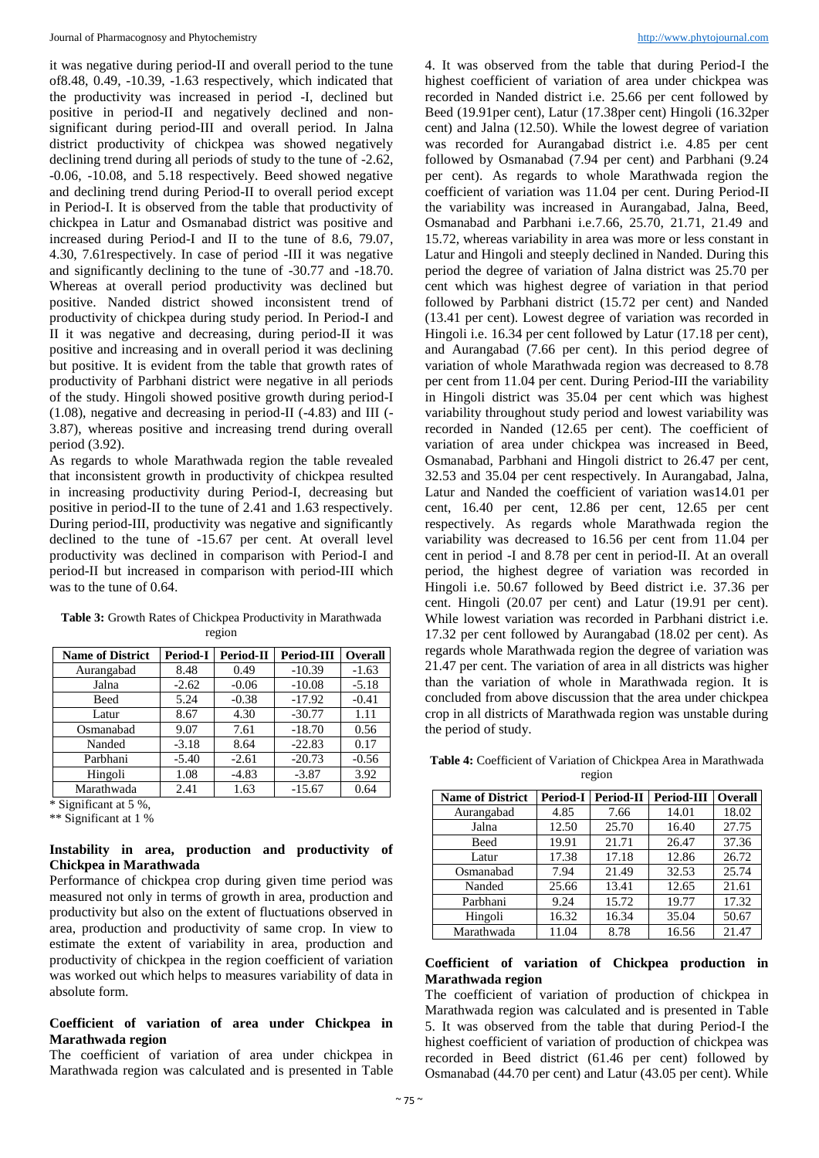it was negative during period-II and overall period to the tune of8.48, 0.49, -10.39, -1.63 respectively, which indicated that the productivity was increased in period -I, declined but positive in period-II and negatively declined and nonsignificant during period-III and overall period. In Jalna district productivity of chickpea was showed negatively declining trend during all periods of study to the tune of -2.62, -0.06, -10.08, and 5.18 respectively. Beed showed negative and declining trend during Period-II to overall period except in Period-I. It is observed from the table that productivity of chickpea in Latur and Osmanabad district was positive and increased during Period-I and II to the tune of 8.6, 79.07, 4.30, 7.61respectively. In case of period -III it was negative and significantly declining to the tune of -30.77 and -18.70. Whereas at overall period productivity was declined but positive. Nanded district showed inconsistent trend of productivity of chickpea during study period. In Period-I and II it was negative and decreasing, during period-II it was positive and increasing and in overall period it was declining but positive. It is evident from the table that growth rates of productivity of Parbhani district were negative in all periods of the study. Hingoli showed positive growth during period-I (1.08), negative and decreasing in period-II (-4.83) and III (- 3.87), whereas positive and increasing trend during overall period (3.92).

As regards to whole Marathwada region the table revealed that inconsistent growth in productivity of chickpea resulted in increasing productivity during Period-I, decreasing but positive in period-II to the tune of 2.41 and 1.63 respectively. During period-III, productivity was negative and significantly declined to the tune of -15.67 per cent. At overall level productivity was declined in comparison with Period-I and period-II but increased in comparison with period-III which was to the tune of 0.64.

| <b>Name of District</b> | Period-I | Period-II | <b>Period-III</b> | <b>Overall</b> |
|-------------------------|----------|-----------|-------------------|----------------|
| Aurangabad              | 8.48     | 0.49      | $-10.39$          | $-1.63$        |
| Jalna                   | $-2.62$  | $-0.06$   | $-10.08$          | $-5.18$        |
| Beed                    | 5.24     | $-0.38$   | $-17.92$          | $-0.41$        |
| Latur                   | 8.67     | 4.30      | $-30.77$          | 1.11           |
| Osmanabad               | 9.07     | 7.61      | $-18.70$          | 0.56           |
| Nanded                  | $-3.18$  | 8.64      | $-22.83$          | 0.17           |
| Parbhani                | $-5.40$  | $-2.61$   | $-20.73$          | $-0.56$        |
| Hingoli                 | 1.08     | $-4.83$   | $-3.87$           | 3.92           |
| Marathwada              | 2.41     | 1.63      | $-15.67$          | 0.64           |

**Table 3:** Growth Rates of Chickpea Productivity in Marathwada region

\* Significant at 5 %,

\*\* Significant at 1 %

# **Instability in area, production and productivity of Chickpea in Marathwada**

Performance of chickpea crop during given time period was measured not only in terms of growth in area, production and productivity but also on the extent of fluctuations observed in area, production and productivity of same crop. In view to estimate the extent of variability in area, production and productivity of chickpea in the region coefficient of variation was worked out which helps to measures variability of data in absolute form.

#### **Coefficient of variation of area under Chickpea in Marathwada region**

The coefficient of variation of area under chickpea in Marathwada region was calculated and is presented in Table 4. It was observed from the table that during Period-I the highest coefficient of variation of area under chickpea was recorded in Nanded district i.e. 25.66 per cent followed by Beed (19.91per cent), Latur (17.38per cent) Hingoli (16.32per cent) and Jalna (12.50). While the lowest degree of variation was recorded for Aurangabad district i.e. 4.85 per cent followed by Osmanabad (7.94 per cent) and Parbhani (9.24 per cent). As regards to whole Marathwada region the coefficient of variation was 11.04 per cent. During Period-II the variability was increased in Aurangabad, Jalna, Beed, Osmanabad and Parbhani i.e.7.66, 25.70, 21.71, 21.49 and 15.72, whereas variability in area was more or less constant in Latur and Hingoli and steeply declined in Nanded. During this period the degree of variation of Jalna district was 25.70 per cent which was highest degree of variation in that period followed by Parbhani district (15.72 per cent) and Nanded (13.41 per cent). Lowest degree of variation was recorded in Hingoli i.e. 16.34 per cent followed by Latur (17.18 per cent), and Aurangabad (7.66 per cent). In this period degree of variation of whole Marathwada region was decreased to 8.78 per cent from 11.04 per cent. During Period-III the variability in Hingoli district was 35.04 per cent which was highest variability throughout study period and lowest variability was recorded in Nanded (12.65 per cent). The coefficient of variation of area under chickpea was increased in Beed, Osmanabad, Parbhani and Hingoli district to 26.47 per cent, 32.53 and 35.04 per cent respectively. In Aurangabad, Jalna, Latur and Nanded the coefficient of variation was14.01 per cent, 16.40 per cent, 12.86 per cent, 12.65 per cent respectively. As regards whole Marathwada region the variability was decreased to 16.56 per cent from 11.04 per cent in period -I and 8.78 per cent in period-II. At an overall period, the highest degree of variation was recorded in Hingoli i.e. 50.67 followed by Beed district i.e. 37.36 per cent. Hingoli (20.07 per cent) and Latur (19.91 per cent). While lowest variation was recorded in Parbhani district i.e. 17.32 per cent followed by Aurangabad (18.02 per cent). As regards whole Marathwada region the degree of variation was 21.47 per cent. The variation of area in all districts was higher than the variation of whole in Marathwada region. It is concluded from above discussion that the area under chickpea crop in all districts of Marathwada region was unstable during the period of study.

**Table 4:** Coefficient of Variation of Chickpea Area in Marathwada region

| <b>Name of District</b> | Period-I | <b>Period-II</b> | Period-III | Overall |
|-------------------------|----------|------------------|------------|---------|
| Aurangabad              | 4.85     | 7.66             | 14.01      | 18.02   |
| Jalna                   | 12.50    | 25.70            | 16.40      | 27.75   |
| Beed                    | 19.91    | 21.71            | 26.47      | 37.36   |
| Latur                   | 17.38    | 17.18            | 12.86      | 26.72   |
| Osmanabad               | 7.94     | 21.49            | 32.53      | 25.74   |
| Nanded                  | 25.66    | 13.41            | 12.65      | 21.61   |
| Parbhani                | 9.24     | 15.72            | 19.77      | 17.32   |
| Hingoli                 | 16.32    | 16.34            | 35.04      | 50.67   |
| Marathwada              | 11.04    | 8.78             | 16.56      | 21.47   |

#### **Coefficient of variation of Chickpea production in Marathwada region**

The coefficient of variation of production of chickpea in Marathwada region was calculated and is presented in Table 5. It was observed from the table that during Period-I the highest coefficient of variation of production of chickpea was recorded in Beed district (61.46 per cent) followed by Osmanabad (44.70 per cent) and Latur (43.05 per cent). While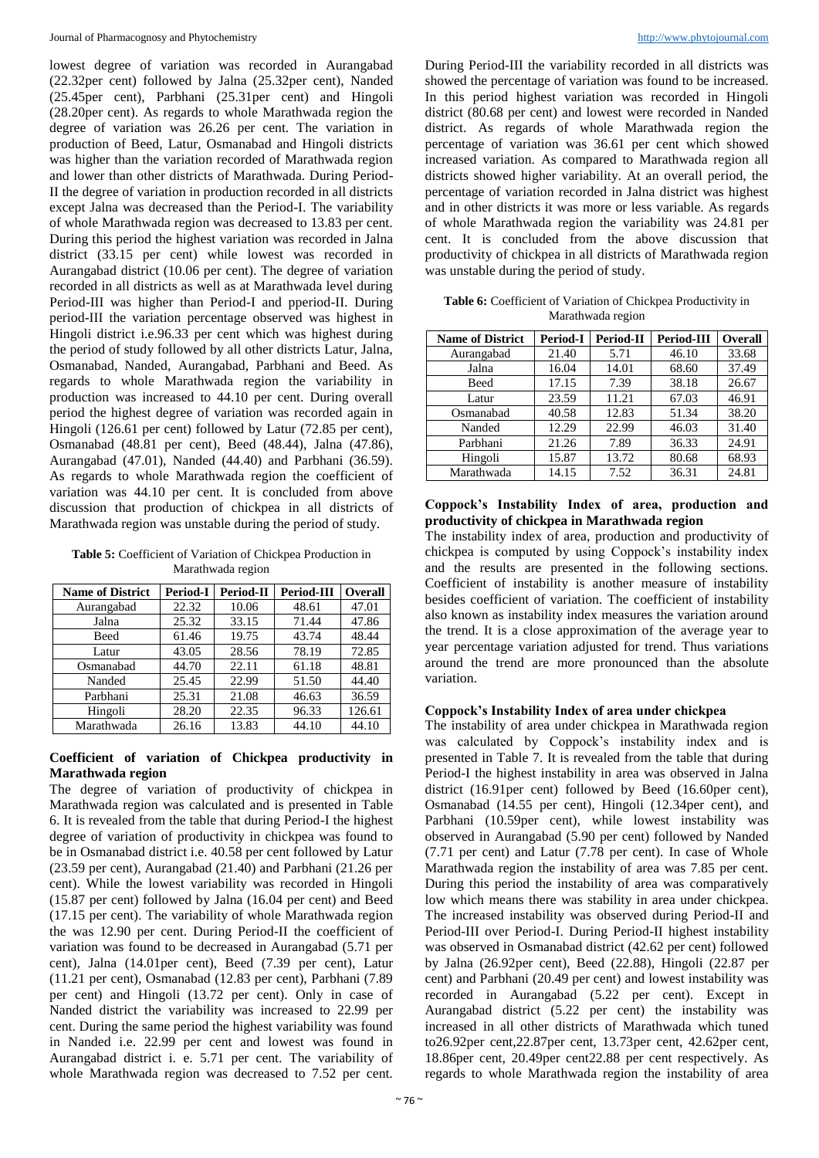lowest degree of variation was recorded in Aurangabad (22.32per cent) followed by Jalna (25.32per cent), Nanded (25.45per cent), Parbhani (25.31per cent) and Hingoli (28.20per cent). As regards to whole Marathwada region the degree of variation was 26.26 per cent. The variation in production of Beed, Latur, Osmanabad and Hingoli districts was higher than the variation recorded of Marathwada region and lower than other districts of Marathwada. During Period-II the degree of variation in production recorded in all districts except Jalna was decreased than the Period-I. The variability of whole Marathwada region was decreased to 13.83 per cent. During this period the highest variation was recorded in Jalna district (33.15 per cent) while lowest was recorded in Aurangabad district (10.06 per cent). The degree of variation recorded in all districts as well as at Marathwada level during Period-III was higher than Period-I and pperiod-II. During period-III the variation percentage observed was highest in Hingoli district i.e.96.33 per cent which was highest during the period of study followed by all other districts Latur, Jalna, Osmanabad, Nanded, Aurangabad, Parbhani and Beed. As regards to whole Marathwada region the variability in production was increased to 44.10 per cent. During overall period the highest degree of variation was recorded again in Hingoli (126.61 per cent) followed by Latur (72.85 per cent), Osmanabad (48.81 per cent), Beed (48.44), Jalna (47.86), Aurangabad (47.01), Nanded (44.40) and Parbhani (36.59). As regards to whole Marathwada region the coefficient of variation was 44.10 per cent. It is concluded from above discussion that production of chickpea in all districts of Marathwada region was unstable during the period of study.

**Table 5:** Coefficient of Variation of Chickpea Production in Marathwada region

| <b>Name of District</b> | Period-I | Period-II | <b>Period-III</b> | <b>Overall</b> |
|-------------------------|----------|-----------|-------------------|----------------|
| Aurangabad              | 22.32    | 10.06     | 48.61             | 47.01          |
| Jalna                   | 25.32    | 33.15     | 71.44             | 47.86          |
| Beed                    | 61.46    | 19.75     | 43.74             | 48.44          |
| Latur                   | 43.05    | 28.56     | 78.19             | 72.85          |
| Osmanabad               | 44.70    | 22.11     | 61.18             | 48.81          |
| Nanded                  | 25.45    | 22.99     | 51.50             | 44.40          |
| Parbhani                | 25.31    | 21.08     | 46.63             | 36.59          |
| Hingoli                 | 28.20    | 22.35     | 96.33             | 126.61         |
| Marathwada              | 26.16    | 13.83     | 44.10             | 44.10          |

# **Coefficient of variation of Chickpea productivity in Marathwada region**

The degree of variation of productivity of chickpea in Marathwada region was calculated and is presented in Table 6. It is revealed from the table that during Period-I the highest degree of variation of productivity in chickpea was found to be in Osmanabad district i.e. 40.58 per cent followed by Latur (23.59 per cent), Aurangabad (21.40) and Parbhani (21.26 per cent). While the lowest variability was recorded in Hingoli (15.87 per cent) followed by Jalna (16.04 per cent) and Beed (17.15 per cent). The variability of whole Marathwada region the was 12.90 per cent. During Period-II the coefficient of variation was found to be decreased in Aurangabad (5.71 per cent), Jalna (14.01per cent), Beed (7.39 per cent), Latur (11.21 per cent), Osmanabad (12.83 per cent), Parbhani (7.89 per cent) and Hingoli (13.72 per cent). Only in case of Nanded district the variability was increased to 22.99 per cent. During the same period the highest variability was found in Nanded i.e. 22.99 per cent and lowest was found in Aurangabad district i. e. 5.71 per cent. The variability of whole Marathwada region was decreased to 7.52 per cent.

During Period-III the variability recorded in all districts was showed the percentage of variation was found to be increased. In this period highest variation was recorded in Hingoli district (80.68 per cent) and lowest were recorded in Nanded district. As regards of whole Marathwada region the percentage of variation was 36.61 per cent which showed increased variation. As compared to Marathwada region all districts showed higher variability. At an overall period, the percentage of variation recorded in Jalna district was highest and in other districts it was more or less variable. As regards of whole Marathwada region the variability was 24.81 per cent. It is concluded from the above discussion that productivity of chickpea in all districts of Marathwada region was unstable during the period of study.

**Table 6:** Coefficient of Variation of Chickpea Productivity in Marathwada region

| <b>Name of District</b> | Period-I | <b>Period-II</b> | Period-III | Overall |
|-------------------------|----------|------------------|------------|---------|
| Aurangabad              | 21.40    | 5.71             | 46.10      | 33.68   |
| Jalna                   | 16.04    | 14.01            | 68.60      | 37.49   |
| Beed                    | 17.15    | 7.39             | 38.18      | 26.67   |
| Latur                   | 23.59    | 11.21            | 67.03      | 46.91   |
| Osmanabad               | 40.58    | 12.83            | 51.34      | 38.20   |
| Nanded                  | 12.29    | 22.99            | 46.03      | 31.40   |
| Parbhani                | 21.26    | 7.89             | 36.33      | 24.91   |
| Hingoli                 | 15.87    | 13.72            | 80.68      | 68.93   |
| Marathwada              | 14.15    | 7.52             | 36.31      | 24.81   |

#### **Coppock's Instability Index of area, production and productivity of chickpea in Marathwada region**

The instability index of area, production and productivity of chickpea is computed by using Coppock's instability index and the results are presented in the following sections. Coefficient of instability is another measure of instability besides coefficient of variation. The coefficient of instability also known as instability index measures the variation around the trend. It is a close approximation of the average year to year percentage variation adjusted for trend. Thus variations around the trend are more pronounced than the absolute variation.

# **Coppock's Instability Index of area under chickpea**

The instability of area under chickpea in Marathwada region was calculated by Coppock's instability index and is presented in Table 7. It is revealed from the table that during Period-I the highest instability in area was observed in Jalna district (16.91per cent) followed by Beed (16.60per cent), Osmanabad (14.55 per cent), Hingoli (12.34per cent), and Parbhani (10.59per cent), while lowest instability was observed in Aurangabad (5.90 per cent) followed by Nanded (7.71 per cent) and Latur (7.78 per cent). In case of Whole Marathwada region the instability of area was 7.85 per cent. During this period the instability of area was comparatively low which means there was stability in area under chickpea. The increased instability was observed during Period-II and Period-III over Period-I. During Period-II highest instability was observed in Osmanabad district (42.62 per cent) followed by Jalna (26.92per cent), Beed (22.88), Hingoli (22.87 per cent) and Parbhani (20.49 per cent) and lowest instability was recorded in Aurangabad (5.22 per cent). Except in Aurangabad district (5.22 per cent) the instability was increased in all other districts of Marathwada which tuned to26.92per cent,22.87per cent, 13.73per cent, 42.62per cent, 18.86per cent, 20.49per cent22.88 per cent respectively. As regards to whole Marathwada region the instability of area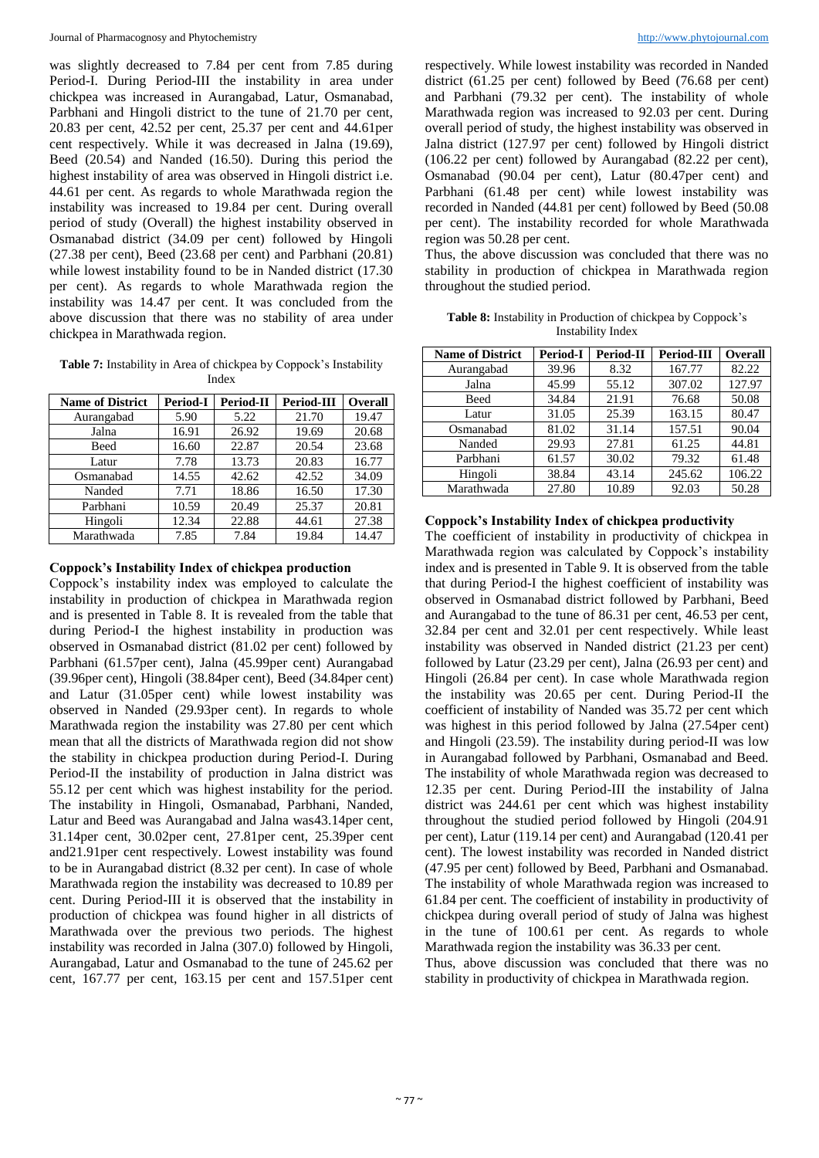was slightly decreased to 7.84 per cent from 7.85 during Period-I. During Period-III the instability in area under chickpea was increased in Aurangabad, Latur, Osmanabad, Parbhani and Hingoli district to the tune of 21.70 per cent, 20.83 per cent, 42.52 per cent, 25.37 per cent and 44.61per cent respectively. While it was decreased in Jalna (19.69), Beed (20.54) and Nanded (16.50). During this period the highest instability of area was observed in Hingoli district i.e. 44.61 per cent. As regards to whole Marathwada region the instability was increased to 19.84 per cent. During overall period of study (Overall) the highest instability observed in Osmanabad district (34.09 per cent) followed by Hingoli (27.38 per cent), Beed (23.68 per cent) and Parbhani (20.81) while lowest instability found to be in Nanded district  $(17.30)$ per cent). As regards to whole Marathwada region the instability was 14.47 per cent. It was concluded from the above discussion that there was no stability of area under chickpea in Marathwada region.

**Table 7:** Instability in Area of chickpea by Coppock's Instability Index

| <b>Name of District</b> | <b>Period-I</b> | Period-II | Period-III | Overall |
|-------------------------|-----------------|-----------|------------|---------|
| Aurangabad              | 5.90            | 5.22      | 21.70      | 19.47   |
| Jalna                   | 16.91           | 26.92     | 19.69      | 20.68   |
| <b>Beed</b>             | 16.60           | 22.87     | 20.54      | 23.68   |
| Latur                   | 7.78            | 13.73     | 20.83      | 16.77   |
| Osmanabad               | 14.55           | 42.62     | 42.52      | 34.09   |
| Nanded                  | 7.71            | 18.86     | 16.50      | 17.30   |
| Parbhani                | 10.59           | 20.49     | 25.37      | 20.81   |
| Hingoli                 | 12.34           | 22.88     | 44.61      | 27.38   |
| Marathwada              | 7.85            | 7.84      | 19.84      | 14.47   |

#### **Coppock's Instability Index of chickpea production**

Coppock's instability index was employed to calculate the instability in production of chickpea in Marathwada region and is presented in Table 8. It is revealed from the table that during Period-I the highest instability in production was observed in Osmanabad district (81.02 per cent) followed by Parbhani (61.57per cent), Jalna (45.99per cent) Aurangabad (39.96per cent), Hingoli (38.84per cent), Beed (34.84per cent) and Latur (31.05per cent) while lowest instability was observed in Nanded (29.93per cent). In regards to whole Marathwada region the instability was 27.80 per cent which mean that all the districts of Marathwada region did not show the stability in chickpea production during Period-I. During Period-II the instability of production in Jalna district was 55.12 per cent which was highest instability for the period. The instability in Hingoli, Osmanabad, Parbhani, Nanded, Latur and Beed was Aurangabad and Jalna was43.14per cent, 31.14per cent, 30.02per cent, 27.81per cent, 25.39per cent and21.91per cent respectively. Lowest instability was found to be in Aurangabad district (8.32 per cent). In case of whole Marathwada region the instability was decreased to 10.89 per cent. During Period-III it is observed that the instability in production of chickpea was found higher in all districts of Marathwada over the previous two periods. The highest instability was recorded in Jalna (307.0) followed by Hingoli, Aurangabad, Latur and Osmanabad to the tune of 245.62 per cent, 167.77 per cent, 163.15 per cent and 157.51per cent respectively. While lowest instability was recorded in Nanded district (61.25 per cent) followed by Beed (76.68 per cent) and Parbhani (79.32 per cent). The instability of whole Marathwada region was increased to 92.03 per cent. During overall period of study, the highest instability was observed in Jalna district (127.97 per cent) followed by Hingoli district (106.22 per cent) followed by Aurangabad (82.22 per cent), Osmanabad (90.04 per cent), Latur (80.47per cent) and Parbhani (61.48 per cent) while lowest instability was recorded in Nanded (44.81 per cent) followed by Beed (50.08 per cent). The instability recorded for whole Marathwada region was 50.28 per cent.

Thus, the above discussion was concluded that there was no stability in production of chickpea in Marathwada region throughout the studied period.

| <b>Table 8:</b> Instability in Production of chickpea by Coppock's |
|--------------------------------------------------------------------|
| Instability Index                                                  |

| <b>Name of District</b> | <b>Period-I</b> | <b>Period-II</b> | Period-III | <b>Overall</b> |
|-------------------------|-----------------|------------------|------------|----------------|
| Aurangabad              | 39.96           | 8.32             | 167.77     | 82.22          |
| Jalna                   | 45.99           | 55.12            | 307.02     | 127.97         |
| Beed                    | 34.84           | 21.91            | 76.68      | 50.08          |
| Latur                   | 31.05           | 25.39            | 163.15     | 80.47          |
| Osmanabad               | 81.02           | 31.14            | 157.51     | 90.04          |
| Nanded                  | 29.93           | 27.81            | 61.25      | 44.81          |
| Parbhani                | 61.57           | 30.02            | 79.32      | 61.48          |
| Hingoli                 | 38.84           | 43.14            | 245.62     | 106.22         |
| Marathwada              | 27.80           | 10.89            | 92.03      | 50.28          |

# **Coppock's Instability Index of chickpea productivity**

The coefficient of instability in productivity of chickpea in Marathwada region was calculated by Coppock's instability index and is presented in Table 9. It is observed from the table that during Period-I the highest coefficient of instability was observed in Osmanabad district followed by Parbhani, Beed and Aurangabad to the tune of 86.31 per cent, 46.53 per cent, 32.84 per cent and 32.01 per cent respectively. While least instability was observed in Nanded district (21.23 per cent) followed by Latur (23.29 per cent), Jalna (26.93 per cent) and Hingoli (26.84 per cent). In case whole Marathwada region the instability was 20.65 per cent. During Period-II the coefficient of instability of Nanded was 35.72 per cent which was highest in this period followed by Jalna (27.54per cent) and Hingoli (23.59). The instability during period-II was low in Aurangabad followed by Parbhani, Osmanabad and Beed. The instability of whole Marathwada region was decreased to 12.35 per cent. During Period-III the instability of Jalna district was 244.61 per cent which was highest instability throughout the studied period followed by Hingoli (204.91 per cent), Latur (119.14 per cent) and Aurangabad (120.41 per cent). The lowest instability was recorded in Nanded district (47.95 per cent) followed by Beed, Parbhani and Osmanabad. The instability of whole Marathwada region was increased to 61.84 per cent. The coefficient of instability in productivity of chickpea during overall period of study of Jalna was highest in the tune of 100.61 per cent. As regards to whole Marathwada region the instability was 36.33 per cent.

Thus, above discussion was concluded that there was no stability in productivity of chickpea in Marathwada region.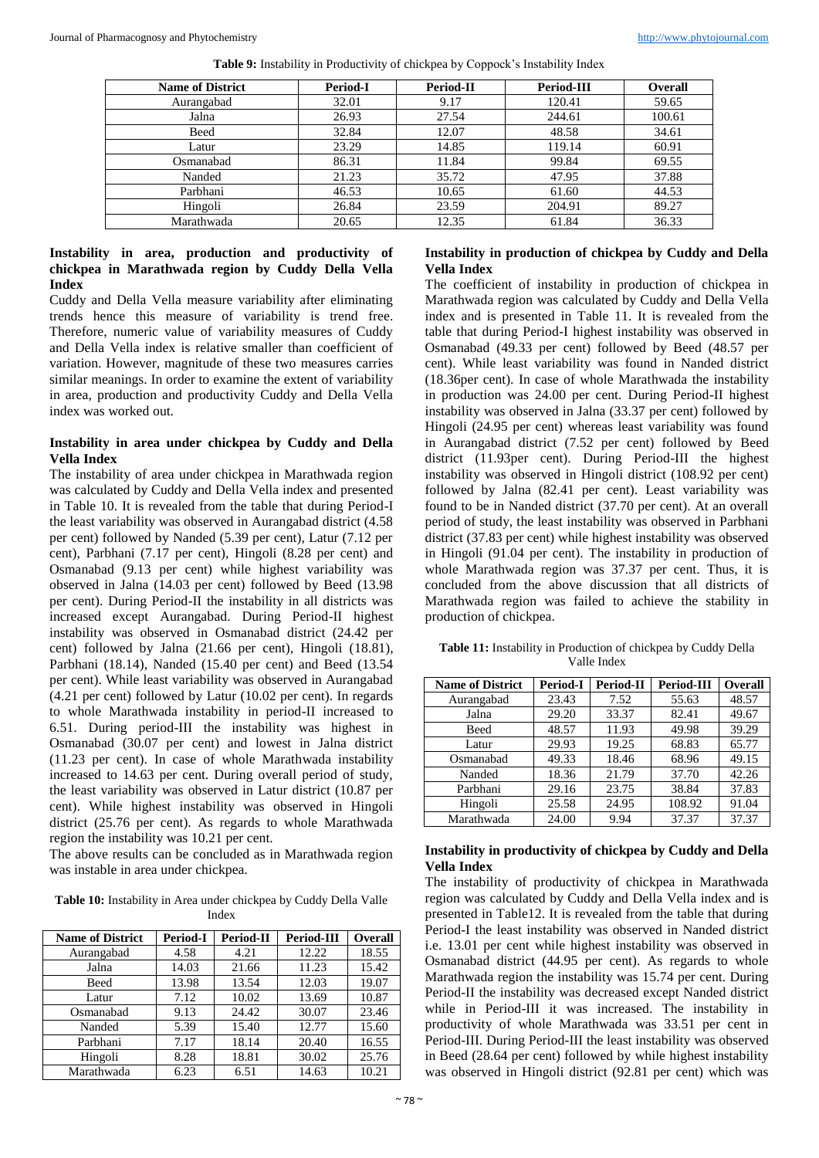| <b>Name of District</b> | <b>Period-I</b> | Period-II | Period-III | <b>Overall</b> |
|-------------------------|-----------------|-----------|------------|----------------|
| Aurangabad              | 32.01           | 9.17      | 120.41     | 59.65          |
| Jalna                   | 26.93           | 27.54     | 244.61     | 100.61         |
| Beed                    | 32.84           | 12.07     | 48.58      | 34.61          |
| Latur                   | 23.29           | 14.85     | 119.14     | 60.91          |
| Osmanabad               | 86.31           | 11.84     | 99.84      | 69.55          |
| Nanded                  | 21.23           | 35.72     | 47.95      | 37.88          |
| Parbhani                | 46.53           | 10.65     | 61.60      | 44.53          |
| Hingoli                 | 26.84           | 23.59     | 204.91     | 89.27          |
| Marathwada              | 20.65           | 12.35     | 61.84      | 36.33          |

**Table 9:** Instability in Productivity of chickpea by Coppock's Instability Index

#### **Instability in area, production and productivity of chickpea in Marathwada region by Cuddy Della Vella Index**

Cuddy and Della Vella measure variability after eliminating trends hence this measure of variability is trend free. Therefore, numeric value of variability measures of Cuddy and Della Vella index is relative smaller than coefficient of variation. However, magnitude of these two measures carries similar meanings. In order to examine the extent of variability in area, production and productivity Cuddy and Della Vella index was worked out.

#### **Instability in area under chickpea by Cuddy and Della Vella Index**

The instability of area under chickpea in Marathwada region was calculated by Cuddy and Della Vella index and presented in Table 10. It is revealed from the table that during Period-I the least variability was observed in Aurangabad district (4.58 per cent) followed by Nanded (5.39 per cent), Latur (7.12 per cent), Parbhani (7.17 per cent), Hingoli (8.28 per cent) and Osmanabad (9.13 per cent) while highest variability was observed in Jalna (14.03 per cent) followed by Beed (13.98 per cent). During Period-II the instability in all districts was increased except Aurangabad. During Period-II highest instability was observed in Osmanabad district (24.42 per cent) followed by Jalna (21.66 per cent), Hingoli (18.81), Parbhani (18.14), Nanded (15.40 per cent) and Beed (13.54 per cent). While least variability was observed in Aurangabad (4.21 per cent) followed by Latur (10.02 per cent). In regards to whole Marathwada instability in period-II increased to 6.51. During period-III the instability was highest in Osmanabad (30.07 per cent) and lowest in Jalna district (11.23 per cent). In case of whole Marathwada instability increased to 14.63 per cent. During overall period of study, the least variability was observed in Latur district (10.87 per cent). While highest instability was observed in Hingoli district (25.76 per cent). As regards to whole Marathwada region the instability was 10.21 per cent.

The above results can be concluded as in Marathwada region was instable in area under chickpea.

**Table 10:** Instability in Area under chickpea by Cuddy Della Valle Index

| <b>Name of District</b> | <b>Period-I</b> | <b>Period-II</b> | Period-III | <b>Overall</b> |
|-------------------------|-----------------|------------------|------------|----------------|
| Aurangabad              | 4.58            | 4.21             | 12.22      | 18.55          |
| Jalna                   | 14.03           | 21.66            | 11.23      | 15.42          |
| Beed                    | 13.98           | 13.54            | 12.03      | 19.07          |
| Latur                   | 7.12            | 10.02            | 13.69      | 10.87          |
| Osmanabad               | 9.13            | 24.42            | 30.07      | 23.46          |
| Nanded                  | 5.39            | 15.40            | 12.77      | 15.60          |
| Parbhani                | 7.17            | 18.14            | 20.40      | 16.55          |
| Hingoli                 | 8.28            | 18.81            | 30.02      | 25.76          |
| Marathwada              | 6.23            | 6.51             | 14.63      | 10.21          |

# **Instability in production of chickpea by Cuddy and Della Vella Index**

The coefficient of instability in production of chickpea in Marathwada region was calculated by Cuddy and Della Vella index and is presented in Table 11. It is revealed from the table that during Period-I highest instability was observed in Osmanabad (49.33 per cent) followed by Beed (48.57 per cent). While least variability was found in Nanded district (18.36per cent). In case of whole Marathwada the instability in production was 24.00 per cent. During Period-II highest instability was observed in Jalna (33.37 per cent) followed by Hingoli (24.95 per cent) whereas least variability was found in Aurangabad district (7.52 per cent) followed by Beed district (11.93per cent). During Period-III the highest instability was observed in Hingoli district (108.92 per cent) followed by Jalna (82.41 per cent). Least variability was found to be in Nanded district (37.70 per cent). At an overall period of study, the least instability was observed in Parbhani district (37.83 per cent) while highest instability was observed in Hingoli (91.04 per cent). The instability in production of whole Marathwada region was 37.37 per cent. Thus, it is concluded from the above discussion that all districts of Marathwada region was failed to achieve the stability in production of chickpea.

**Name of District Period-I Period-II Period-III Overall** Aurangabad 23.43 7.52 55.63 48.57 Jalna 29.20 33.37 82.41 49.67 Beed | 48.57 | 11.93 | 49.98 | 39.29 Latur | 29.93 | 19.25 | 68.83 | 65.77 Osmanabad 49.33 18.46 68.96 49.15 Nanded 18.36 21.79 37.70 42.26 Parbhani | 29.16 | 23.75 | 38.84 | 37.83 Hingoli 25.58 24.95 108.92 91.04

#### **Table 11:** Instability in Production of chickpea by Cuddy Della Valle Index

### **Instability in productivity of chickpea by Cuddy and Della Vella Index**

Marathwada 24.00 9.94 37.37 37.37

The instability of productivity of chickpea in Marathwada region was calculated by Cuddy and Della Vella index and is presented in Table12. It is revealed from the table that during Period-I the least instability was observed in Nanded district i.e. 13.01 per cent while highest instability was observed in Osmanabad district (44.95 per cent). As regards to whole Marathwada region the instability was 15.74 per cent. During Period-II the instability was decreased except Nanded district while in Period-III it was increased. The instability in productivity of whole Marathwada was 33.51 per cent in Period-III. During Period-III the least instability was observed in Beed (28.64 per cent) followed by while highest instability was observed in Hingoli district (92.81 per cent) which was